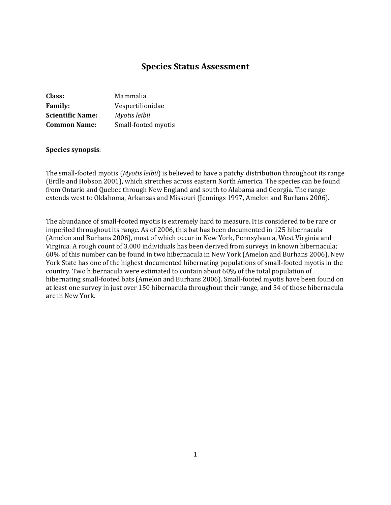# **Species Status Assessment**

| Class:                  | Mammalia            |
|-------------------------|---------------------|
| <b>Family:</b>          | Vespertilionidae    |
| <b>Scientific Name:</b> | Myotis leibii       |
| <b>Common Name:</b>     | Small-footed myotis |

#### **Species synopsis**:

The small-footed myotis (*Myotis leibii*) is believed to have a patchy distribution throughout its range (Erdle and Hobson 2001), which stretches across eastern North America. The species can be found from Ontario and Quebec through New England and south to Alabama and Georgia. The range extends west to Oklahoma, Arkansas and Missouri (Jennings 1997, Amelon and Burhans 2006).

The abundance of small-footed myotis is extremely hard to measure. It is considered to be rare or imperiled throughout its range. As of 2006, this bat has been documented in 125 hibernacula (Amelon and Burhans 2006), most of which occur in New York, Pennsylvania, West Virginia and Virginia. A rough count of 3,000 individuals has been derived from surveys in known hibernacula; 60% of this number can be found in two hibernacula in New York (Amelon and Burhans 2006). New York State has one of the highest documented hibernating populations of small-footed myotis in the country. Two hibernacula were estimated to contain about 60% of the total population of hibernating small-footed bats (Amelon and Burhans 2006). Small-footed myotis have been found on at least one survey in just over 150 hibernacula throughout their range, and 54 of those hibernacula are in New York.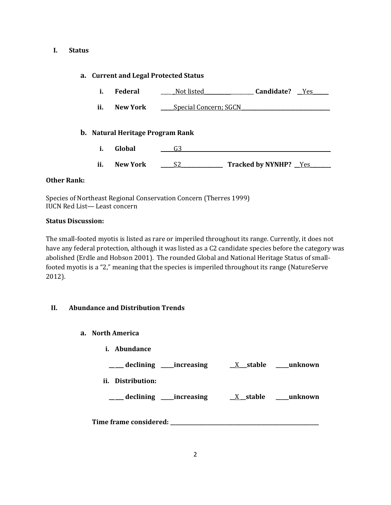### **I. Status**

## **a. Current and Legal Protected Status**

- **i. Federal** \_\_\_\_ \_Not listed\_\_\_\_\_\_\_\_\_\_\_\_\_\_\_\_\_\_\_ **Candidate?** \_\_Yes\_\_\_\_\_\_
- **ii. New York** <u>\_\_\_\_Special Concern; SGCN</u>

### **b. Natural Heritage Program Rank**

- **i. Global a G3**
- ii. New York <u>S2</u> Tracked by NYNHP? Yes

## **Other Rank:**

Species of Northeast Regional Conservation Concern (Therres 1999) IUCN Red List— Least concern

## **Status Discussion:**

The small-footed myotis is listed as rare or imperiled throughout its range. Currently, it does not have any federal protection, although it was listed as a C2 candidate species before the category was abolished (Erdle and Hobson 2001). The rounded Global and National Heritage Status of smallfooted myotis is a "2," meaning that the species is imperiled throughout its range (NatureServe 2012).

## **II. Abundance and Distribution Trends**

- **a. North America**
	- **i. Abundance**

| _declining ___increasing           | $X$ stable | unknown |
|------------------------------------|------------|---------|
| ii.<br>Distribution:               |            |         |
| declining _____increasing          | $X$ stable | unknown |
| $\sim$ $\sim$<br>$\mathbf{r}$<br>. |            |         |

**Time frame considered: \_\_\_\_\_\_\_\_\_\_\_\_\_\_\_\_\_\_\_\_\_\_\_\_\_\_\_\_\_\_\_\_\_\_\_\_\_\_\_\_\_\_\_\_\_\_\_\_\_\_\_\_\_\_\_\_\_**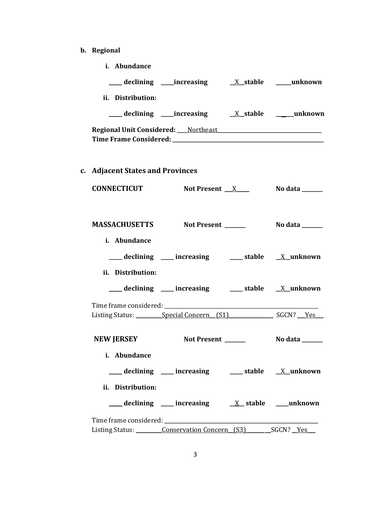**b. Regional** 

| i. Abundance                     |                                                                                 |                       |
|----------------------------------|---------------------------------------------------------------------------------|-----------------------|
|                                  | declining increasing X_stable ____unknown                                       |                       |
| ii. Distribution:                |                                                                                 |                       |
|                                  |                                                                                 |                       |
|                                  | Regional Unit Considered: Northeast Neglischer Alexander Management Considered: |                       |
| c. Adjacent States and Provinces |                                                                                 |                       |
| <b>CONNECTICUT</b>               | Not Present $X$                                                                 | No data ______        |
| <b>MASSACHUSETTS</b>             | Not Present ______                                                              | <b>No data</b> ______ |
| i. Abundance                     |                                                                                 |                       |
|                                  | declining ___ increasing ___ stable __ X_unknown                                |                       |
| ii. Distribution:                |                                                                                 |                       |
|                                  | declining ___ increasing ___ stable __ X_unknown                                |                       |
|                                  |                                                                                 |                       |
|                                  | Listing Status: Special Concern (S1) SGCN? Yes                                  |                       |
| <b>NEW JERSEY</b>                | Not Present ______                                                              | No data ______        |
| i. Abundance                     |                                                                                 |                       |
|                                  | declining ____ increasing _____ stable ___ X_unknown                            |                       |
| ii. Distribution:                |                                                                                 |                       |
|                                  |                                                                                 |                       |
|                                  |                                                                                 |                       |
|                                  | Listing Status: Conservation Concern (S3) _______ SGCN? __ Yes                  |                       |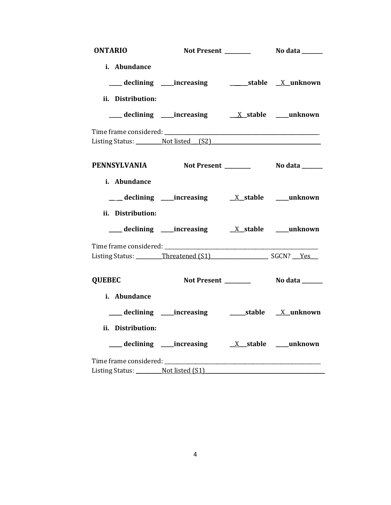| <b>ONTARIO</b>         |                                                 |  |
|------------------------|-------------------------------------------------|--|
| i. Abundance           |                                                 |  |
|                        |                                                 |  |
| ii. Distribution:      |                                                 |  |
|                        |                                                 |  |
|                        |                                                 |  |
|                        | Listing Status: Not listed (S2)                 |  |
|                        | PENNSYLVANIA Not Present ________ No data _____ |  |
| i. Abundance           |                                                 |  |
|                        |                                                 |  |
| ii. Distribution:      |                                                 |  |
|                        |                                                 |  |
|                        | Listing Status: Threatened (S1) SGCN? Yes       |  |
|                        |                                                 |  |
| <b>QUEBEC</b>          |                                                 |  |
| i. Abundance           |                                                 |  |
|                        |                                                 |  |
| ii. Distribution:      |                                                 |  |
|                        |                                                 |  |
| Time frame considered: |                                                 |  |
|                        | Listing Status: Not listed (S1)                 |  |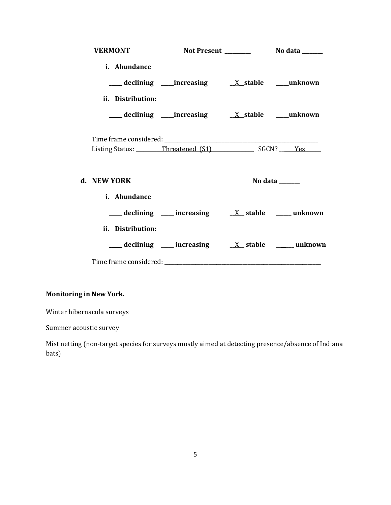| <b>VERMONT</b>                            |                                                      |         |
|-------------------------------------------|------------------------------------------------------|---------|
| i. Abundance                              |                                                      |         |
|                                           |                                                      |         |
| ii. Distribution:                         |                                                      |         |
|                                           |                                                      |         |
| Listing Status: Threatened (S1) SGCN? Yes |                                                      |         |
| d. NEW YORK                               |                                                      | No data |
| i. Abundance                              |                                                      |         |
|                                           |                                                      |         |
| ii. Distribution:                         |                                                      |         |
|                                           | declining ___ increasing ___ x_ stable _____ unknown |         |
|                                           |                                                      |         |

# **Monitoring in New York.**

Winter hibernacula surveys

Summer acoustic survey

Mist netting (non-target species for surveys mostly aimed at detecting presence/absence of Indiana bats)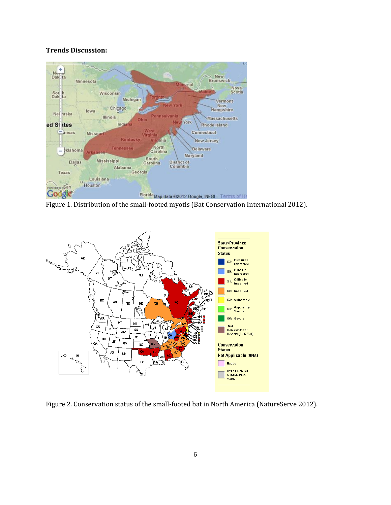## **Trends Discussion:**



Figure 1. Distribution of the small-footed myotis (Bat Conservation International 2012).



Figure 2. Conservation status of the small-footed bat in North America (NatureServe 2012).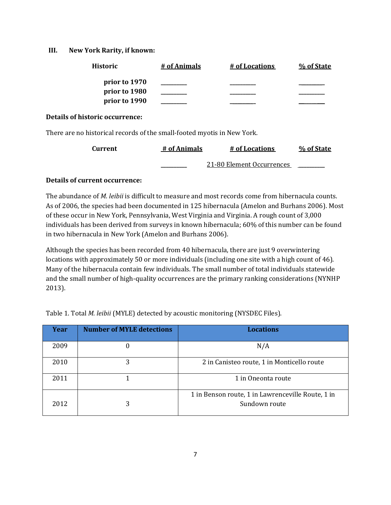### **III. New York Rarity, if known:**

| <b>Historic</b> | # of Animals | # of Locations | % of State |
|-----------------|--------------|----------------|------------|
| prior to 1970   |              |                |            |
| prior to 1980   |              |                |            |
| prior to 1990   |              |                |            |

#### **Details of historic occurrence:**

There are no historical records of the small-footed myotis in New York.

| <b>Current</b> | # of Animals | # of Locations            | % of State |
|----------------|--------------|---------------------------|------------|
|                |              | 21-80 Element Occurrences |            |

## **Details of current occurrence:**

The abundance of *M. leibii* is difficult to measure and most records come from hibernacula counts. As of 2006, the species had been documented in 125 hibernacula (Amelon and Burhans 2006). Most of these occur in New York, Pennsylvania, West Virginia and Virginia. A rough count of 3,000 individuals has been derived from surveys in known hibernacula; 60% of this number can be found in two hibernacula in New York (Amelon and Burhans 2006).

Although the species has been recorded from 40 hibernacula, there are just 9 overwintering locations with approximately 50 or more individuals (including one site with a high count of 46). Many of the hibernacula contain few individuals. The small number of total individuals statewide and the small number of high-quality occurrences are the primary ranking considerations (NYNHP 2013).

Table 1. Total *M. leibii* (MYLE) detected by acoustic monitoring (NYSDEC Files).

| Year | <b>Number of MYLE detections</b> | <b>Locations</b>                                                   |
|------|----------------------------------|--------------------------------------------------------------------|
| 2009 |                                  | N/A                                                                |
| 2010 | 3                                | 2 in Canisteo route, 1 in Monticello route                         |
| 2011 |                                  | 1 in Oneonta route                                                 |
| 2012 |                                  | 1 in Benson route, 1 in Lawrenceville Route, 1 in<br>Sundown route |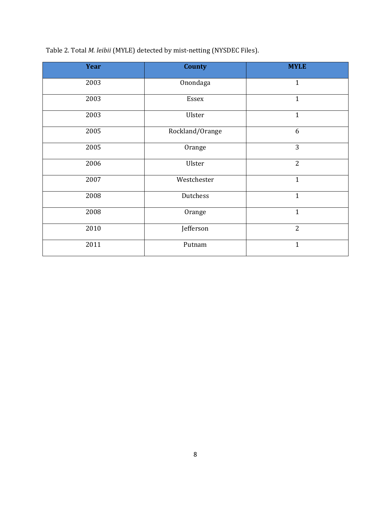Table 2. Total *M. leibii* (MYLE) detected by mist-netting (NYSDEC Files).

| Year | <b>County</b>   | <b>MYLE</b>    |
|------|-----------------|----------------|
| 2003 | Onondaga        | $\mathbf{1}$   |
| 2003 | Essex           | $\mathbf{1}$   |
| 2003 | Ulster          | $\mathbf{1}$   |
| 2005 | Rockland/Orange | 6              |
| 2005 | Orange          | 3              |
| 2006 | Ulster          | $\overline{2}$ |
| 2007 | Westchester     | $\mathbf{1}$   |
| 2008 | Dutchess        | $\mathbf{1}$   |
| 2008 | Orange          | $\mathbf{1}$   |
| 2010 | Jefferson       | $\overline{2}$ |
| 2011 | Putnam          | $\mathbf{1}$   |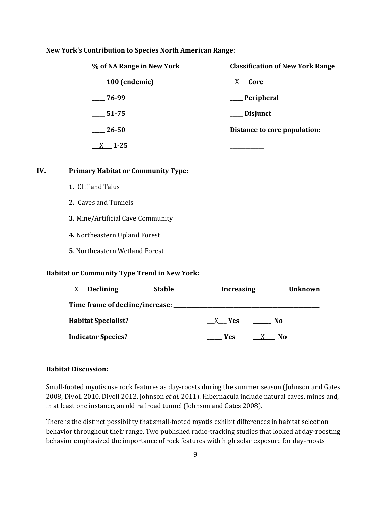#### **New York's Contribution to Species North American Range:**

| % of NA Range in New York | <b>Classification of New York Range</b> |
|---------------------------|-----------------------------------------|
| $\_\_100$ (endemic)       | X Core                                  |
| $-76-99$                  | ___ Peripheral                          |
| $-51-75$                  | _ Disjunct                              |
| $\sim$ 26-50              | Distance to core population:            |
| $1 - 25$                  |                                         |

#### **IV. Primary Habitat or Community Type:**

- **1.** Cliff and Talus
- **2.** Caves and Tunnels
- **3.** Mine/Artificial Cave Community
- **4.** Northeastern Upland Forest
- **5**. Northeastern Wetland Forest

### **Habitat or Community Type Trend in New York:**

| $X$ Declining<br><b>Stable</b>  | Increasing           | <b>Unknown</b> |
|---------------------------------|----------------------|----------------|
| Time frame of decline/increase: |                      |                |
| <b>Habitat Specialist?</b>      | - Yes                | No             |
| <b>Indicator Species?</b>       | Yes.<br>$\mathbf{X}$ | No             |

### **Habitat Discussion:**

Small-footed myotis use rock features as day-roosts during the summer season (Johnson and Gates 2008, Divoll 2010, Divoll 2012, Johnson *et al.* 2011). Hibernacula include natural caves, mines and, in at least one instance, an old railroad tunnel (Johnson and Gates 2008).

There is the distinct possibility that small-footed myotis exhibit differences in habitat selection behavior throughout their range. Two published radio-tracking studies that looked at day-roosting behavior emphasized the importance of rock features with high solar exposure for day-roosts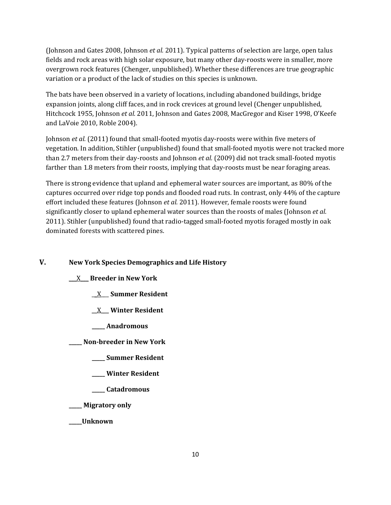(Johnson and Gates 2008, Johnson *et al.* 2011). Typical patterns of selection are large, open talus fields and rock areas with high solar exposure, but many other day-roosts were in smaller, more overgrown rock features (Chenger, unpublished). Whether these differences are true geographic variation or a product of the lack of studies on this species is unknown.

The bats have been observed in a variety of locations, including abandoned buildings, bridge expansion joints, along cliff faces, and in rock crevices at ground level (Chenger unpublished, Hitchcock 1955, Johnson *et al.* 2011, Johnson and Gates 2008, MacGregor and Kiser 1998, O'Keefe and LaVoie 2010, Roble 2004).

Johnson *et al.* (2011) found that small-footed myotis day-roosts were within five meters of vegetation. In addition, Stihler (unpublished) found that small-footed myotis were not tracked more than 2.7 meters from their day-roosts and Johnson *et al.* (2009) did not track small-footed myotis farther than 1.8 meters from their roosts, implying that day-roosts must be near foraging areas.

There is strong evidence that upland and ephemeral water sources are important*,* as 80% of the captures occurred over ridge top ponds and flooded road ruts. In contrast, only 44% of the capture effort included these features (Johnson *et al.* 2011). However, female roosts were found significantly closer to upland ephemeral water sources than the roosts of males (Johnson *et al.*  2011). Stihler (unpublished) found that radio-tagged small-footed myotis foraged mostly in oak dominated forests with scattered pines.

### **V. New York Species Demographics and Life History**

## \_\_\_X\_\_\_ **Breeder in New York**

- \_\_X\_\_\_ **Summer Resident**
- \_\_X\_\_\_ **Winter Resident**
- **\_\_\_\_\_ Anadromous**

**\_\_\_\_\_ Non-breeder in New York**

- **\_\_\_\_\_ Summer Resident**
- **\_\_\_\_\_ Winter Resident**
- **\_\_\_\_\_ Catadromous**
- **\_\_\_\_\_ Migratory only**

**\_\_\_\_\_Unknown**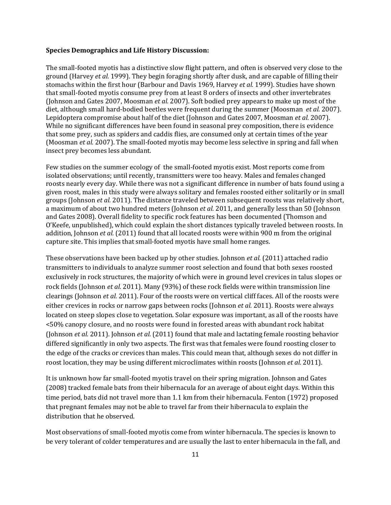#### **Species Demographics and Life History Discussion:**

The small-footed myotis has a distinctive slow flight pattern, and often is observed very close to the ground (Harvey *et al.* 1999). They begin foraging shortly after dusk, and are capable of filling their stomachs within the first hour (Barbour and Davis 1969, Harvey *et al.* 1999). Studies have shown that small-footed myotis consume prey from at least 8 orders of insects and other invertebrates (Johnson and Gates 2007, Moosman *et al.* 2007). Soft bodied prey appears to make up most of the diet, although small hard-bodied beetles were frequent during the summer (Moosman *et al.* 2007). Lepidoptera compromise about half of the diet (Johnson and Gates 2007, Moosman *et al.* 2007). While no significant differences have been found in seasonal prey composition, there is evidence that some prey, such as spiders and caddis flies, are consumed only at certain times of the year (Moosman *et al.* 2007). The small-footed myotis may become less selective in spring and fall when insect prey becomes less abundant.

Few studies on the summer ecology of the small-footed myotis exist. Most reports come from isolated observations; until recently, transmitters were too heavy. Males and females changed roosts nearly every day. While there was not a significant difference in number of bats found using a given roost, males in this study were always solitary and females roosted either solitarily or in small groups (Johnson *et al.* 2011). The distance traveled between subsequent roosts was relatively short, a maximum of about two hundred meters (Johnson *et al.* 2011, and generally less than 50 (Johnson and Gates 2008). Overall fidelity to specific rock features has been documented (Thomson and O'Keefe, unpublished), which could explain the short distances typically traveled between roosts. In addition, Johnson *et al.* (2011) found that all located roosts were within 900 m from the original capture site. This implies that small-footed myotis have small home ranges.

These observations have been backed up by other studies. Johnson *et al.* (2011) attached radio transmitters to individuals to analyze summer roost selection and found that both sexes roosted exclusively in rock structures, the majority of which were in ground level crevices in talus slopes or rock fields (Johnson *et al.* 2011). Many (93%) of these rock fields were within transmission line clearings (Johnson *et al.* 2011). Four of the roosts were on vertical cliff faces. All of the roosts were either crevices in rocks or narrow gaps between rocks (Johnson *et al.* 2011). Roosts were always located on steep slopes close to vegetation. Solar exposure was important, as all of the roosts have <50% canopy closure, and no roosts were found in forested areas with abundant rock habitat (Johnson *et al.* 2011). Johnson *et al.* (2011) found that male and lactating female roosting behavior differed significantly in only two aspects. The first was that females were found roosting closer to the edge of the cracks or crevices than males. This could mean that, although sexes do not differ in roost location, they may be using different microclimates within roosts (Johnson *et al.* 2011).

It is unknown how far small-footed myotis travel on their spring migration. Johnson and Gates (2008) tracked female bats from their hibernacula for an average of about eight days. Within this time period, bats did not travel more than 1.1 km from their hibernacula. Fenton (1972) proposed that pregnant females may not be able to travel far from their hibernacula to explain the distribution that he observed.

Most observations of small-footed myotis come from winter hibernacula. The species is known to be very tolerant of colder temperatures and are usually the last to enter hibernacula in the fall, and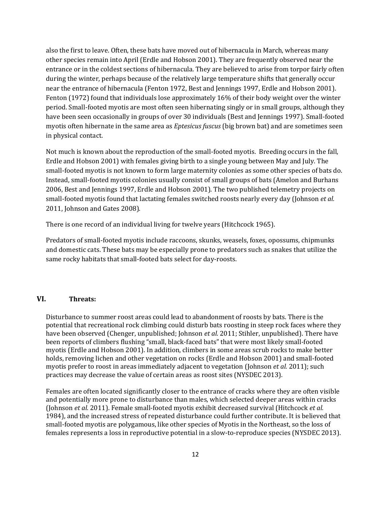also the first to leave. Often, these bats have moved out of hibernacula in March, whereas many other species remain into April (Erdle and Hobson 2001). They are frequently observed near the entrance or in the coldest sections of hibernacula. They are believed to arise from torpor fairly often during the winter, perhaps because of the relatively large temperature shifts that generally occur near the entrance of hibernacula (Fenton 1972, Best and Jennings 1997, Erdle and Hobson 2001). Fenton (1972) found that individuals lose approximately 16% of their body weight over the winter period. Small-footed myotis are most often seen hibernating singly or in small groups, although they have been seen occasionally in groups of over 30 individuals (Best and Jennings 1997). Small-footed myotis often hibernate in the same area as *Eptesicus fuscus* (big brown bat) and are sometimes seen in physical contact.

Not much is known about the reproduction of the small-footed myotis. Breeding occurs in the fall, Erdle and Hobson 2001) with females giving birth to a single young between May and July. The small-footed myotis is not known to form large maternity colonies as some other species of bats do. Instead, small-footed myotis colonies usually consist of small groups of bats (Amelon and Burhans 2006, Best and Jennings 1997, Erdle and Hobson 2001). The two published telemetry projects on small-footed myotis found that lactating females switched roosts nearly every day (Johnson *et al.* 2011, Johnson and Gates 2008).

There is one record of an individual living for twelve years (Hitchcock 1965).

Predators of small-footed myotis include raccoons, skunks, weasels, foxes, opossums, chipmunks and domestic cats. These bats may be especially prone to predators such as snakes that utilize the same rocky habitats that small-footed bats select for day-roosts.

## **VI. Threats:**

Disturbance to summer roost areas could lead to abandonment of roosts by bats. There is the potential that recreational rock climbing could disturb bats roosting in steep rock faces where they have been observed (Chenger, unpublished; Johnson *et al.* 2011; Stihler, unpublished). There have been reports of climbers flushing "small, black-faced bats" that were most likely small-footed myotis (Erdle and Hobson 2001). In addition, climbers in some areas scrub rocks to make better holds, removing lichen and other vegetation on rocks (Erdle and Hobson 2001) and small-footed myotis prefer to roost in areas immediately adjacent to vegetation (Johnson *et al.* 2011); such practices may decrease the value of certain areas as roost sites (NYSDEC 2013).

Females are often located significantly closer to the entrance of cracks where they are often visible and potentially more prone to disturbance than males, which selected deeper areas within cracks (Johnson *et al.* 2011). Female small-footed myotis exhibit decreased survival (Hitchcock *et al.* 1984), and the increased stress of repeated disturbance could further contribute. It is believed that small-footed myotis are polygamous, like other species of Myotis in the Northeast, so the loss of females represents a loss in reproductive potential in a slow-to-reproduce species (NYSDEC 2013).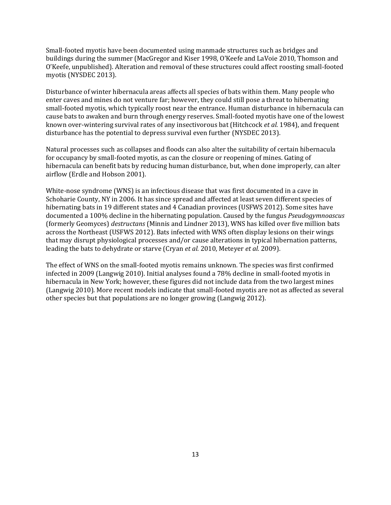Small-footed myotis have been documented using manmade structures such as bridges and buildings during the summer (MacGregor and Kiser 1998, O'Keefe and LaVoie 2010, Thomson and O'Keefe, unpublished). Alteration and removal of these structures could affect roosting small-footed myotis (NYSDEC 2013).

Disturbance of winter hibernacula areas affects all species of bats within them. Many people who enter caves and mines do not venture far; however, they could still pose a threat to hibernating small-footed myotis*,* which typically roost near the entrance. Human disturbance in hibernacula can cause bats to awaken and burn through energy reserves. Small-footed myotis have one of the lowest known over-wintering survival rates of any insectivorous bat (Hitchcock *et al.* 1984), and frequent disturbance has the potential to depress survival even further (NYSDEC 2013).

Natural processes such as collapses and floods can also alter the suitability of certain hibernacula for occupancy by small-footed myotis, as can the closure or reopening of mines. Gating of hibernacula can benefit bats by reducing human disturbance, but, when done improperly, can alter airflow (Erdle and Hobson 2001).

White-nose syndrome (WNS) is an infectious disease that was first documented in a cave in Schoharie County, NY in 2006. It has since spread and affected at least seven different species of hibernating bats in 19 different states and 4 Canadian provinces (USFWS 2012). Some sites have documented a 100% decline in the hibernating population. Caused by the fungus *Pseudogymnoascus* (formerly Geomyces) *destructans* (Minnis and Lindner 2013), WNS has killed over five million bats across the Northeast (USFWS 2012). Bats infected with WNS often display lesions on their wings that may disrupt physiological processes and/or cause alterations in typical hibernation patterns, leading the bats to dehydrate or starve (Cryan *et al.* 2010, Meteyer *et al.* 2009).

The effect of WNS on the small-footed myotis remains unknown*.* The species was first confirmed infected in 2009 (Langwig 2010). Initial analyses found a 78% decline in small-footed myotis in hibernacula in New York; however, these figures did not include data from the two largest mines (Langwig 2010). More recent models indicate that small-footed myotis are not as affected as several other species but that populations are no longer growing (Langwig 2012).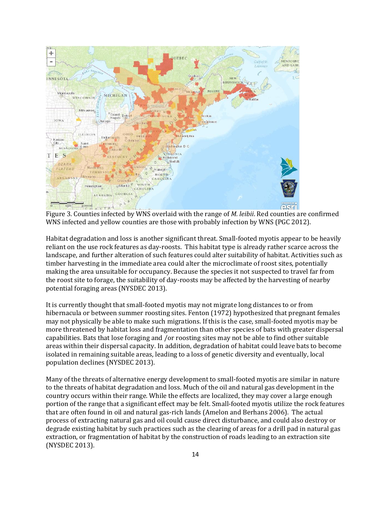

Figure 3. Counties infected by WNS overlaid with the range of *M. leibii*. Red counties are confirmed WNS infected and yellow counties are those with probably infection by WNS (PGC 2012).

Habitat degradation and loss is another significant threat. Small-footed myotis appear to be heavily reliant on the use rock features as day-roosts. This habitat type is already rather scarce across the landscape, and further alteration of such features could alter suitability of habitat. Activities such as timber harvesting in the immediate area could alter the microclimate of roost sites, potentially making the area unsuitable for occupancy. Because the species it not suspected to travel far from the roost site to forage, the suitability of day-roosts may be affected by the harvesting of nearby potential foraging areas (NYSDEC 2013).

It is currently thought that small-footed myotis may not migrate long distances to or from hibernacula or between summer roosting sites. Fenton (1972) hypothesized that pregnant females may not physically be able to make such migrations. If this is the case, small-footed myotis may be more threatened by habitat loss and fragmentation than other species of bats with greater dispersal capabilities. Bats that lose foraging and /or roosting sites may not be able to find other suitable areas within their dispersal capacity. In addition, degradation of habitat could leave bats to become isolated in remaining suitable areas, leading to a loss of genetic diversity and eventually, local population declines (NYSDEC 2013).

Many of the threats of alternative energy development to small-footed myotis are similar in nature to the threats of habitat degradation and loss. Much of the oil and natural gas development in the country occurs within their range*.* While the effects are localized, they may cover a large enough portion of the range that a significant effect may be felt. Small-footed myotis utilize the rock features that are often found in oil and natural gas-rich lands (Amelon and Berhans 2006). The actual process of extracting natural gas and oil could cause direct disturbance, and could also destroy or degrade existing habitat by such practices such as the clearing of areas for a drill pad in natural gas extraction, or fragmentation of habitat by the construction of roads leading to an extraction site (NYSDEC 2013).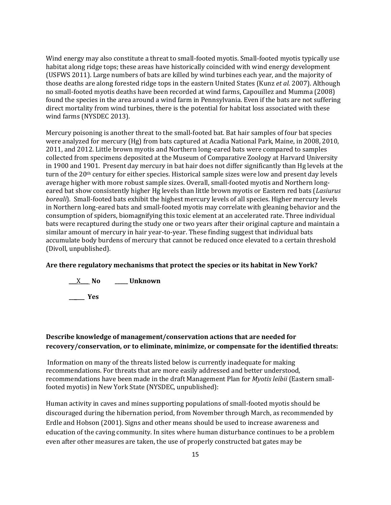Wind energy may also constitute a threat to small-footed myotis. Small-footed myotis typically use habitat along ridge tops; these areas have historically coincided with wind energy development (USFWS 2011). Large numbers of bats are killed by wind turbines each year, and the majority of those deaths are along forested ridge tops in the eastern United States (Kunz *et al.* 2007). Although no small-footed myotis deaths have been recorded at wind farms, Capouillez and Mumma (2008) found the species in the area around a wind farm in Pennsylvania. Even if the bats are not suffering direct mortality from wind turbines, there is the potential for habitat loss associated with these wind farms (NYSDEC 2013).

Mercury poisoning is another threat to the small-footed bat. Bat hair samples of four bat species were analyzed for mercury (Hg) from bats captured at Acadia National Park, Maine, in 2008, 2010, 2011, and 2012. Little brown myotis and Northern long-eared bats were compared to samples collected from specimens deposited at the Museum of Comparative Zoology at Harvard University in 1900 and 1901. Present day mercury in bat hair does not differ significantly than Hg levels at the turn of the 20th century for either species. Historical sample sizes were low and present day levels average higher with more robust sample sizes. Overall, small-footed myotis and Northern longeared bat show consistently higher Hg levels than little brown myotis or Eastern red bats (*Lasiurus boreali*). Small-footed bats exhibit the highest mercury levels of all species. Higher mercury levels in Northern long-eared bats and small-footed myotis may correlate with gleaning behavior and the consumption of spiders, biomagnifying this toxic element at an accelerated rate. Three individual bats were recaptured during the study one or two years after their original capture and maintain a similar amount of mercury in hair year-to-year. These finding suggest that individual bats accumulate body burdens of mercury that cannot be reduced once elevated to a certain threshold (Divoll, unpublished).

### **Are there regulatory mechanisms that protect the species or its habitat in New York?**



## **Describe knowledge of management/conservation actions that are needed for recovery/conservation, or to eliminate, minimize, or compensate for the identified threats:**

Information on many of the threats listed below is currently inadequate for making recommendations. For threats that are more easily addressed and better understood, recommendations have been made in the draft Management Plan for *Myotis leibii* (Eastern smallfooted myotis) in New York State (NYSDEC, unpublished):

Human activity in caves and mines supporting populations of small-footed myotis should be discouraged during the hibernation period, from November through March, as recommended by Erdle and Hobson (2001). Signs and other means should be used to increase awareness and education of the caving community. In sites where human disturbance continues to be a problem even after other measures are taken, the use of properly constructed bat gates may be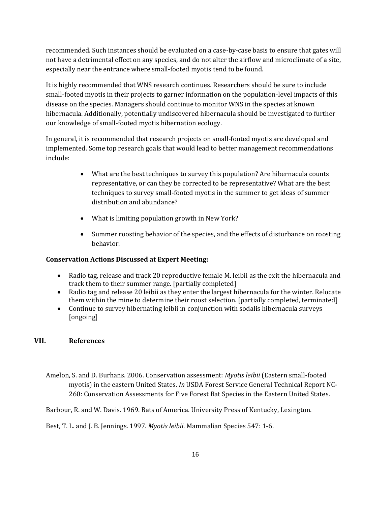recommended. Such instances should be evaluated on a case-by-case basis to ensure that gates will not have a detrimental effect on any species, and do not alter the airflow and microclimate of a site, especially near the entrance where small-footed myotis tend to be found.

It is highly recommended that WNS research continues. Researchers should be sure to include small-footed myotis in their projects to garner information on the population-level impacts of this disease on the species. Managers should continue to monitor WNS in the species at known hibernacula. Additionally, potentially undiscovered hibernacula should be investigated to further our knowledge of small-footed myotis hibernation ecology.

In general, it is recommended that research projects on small-footed myotis are developed and implemented. Some top research goals that would lead to better management recommendations include:

- What are the best techniques to survey this population? Are hibernacula counts representative, or can they be corrected to be representative? What are the best techniques to survey small-footed myotis in the summer to get ideas of summer distribution and abundance?
- What is limiting population growth in New York?
- Summer roosting behavior of the species, and the effects of disturbance on roosting behavior.

## **Conservation Actions Discussed at Expert Meeting:**

- Radio tag, release and track 20 reproductive female M. leibii as the exit the hibernacula and track them to their summer range. [partially completed]
- Radio tag and release 20 leibii as they enter the largest hibernacula for the winter. Relocate them within the mine to determine their roost selection. [partially completed, terminated]
- Continue to survey hibernating leibii in conjunction with sodalis hibernacula surveys [ongoing]

## **VII. References**

Amelon, S. and D. Burhans. 2006. Conservation assessment: *Myotis leibii* (Eastern small-footed myotis) in the eastern United States. *In* USDA Forest Service General Technical Report NC-260: Conservation Assessments for Five Forest Bat Species in the Eastern United States.

Barbour, R. and W. Davis. 1969. Bats of America. University Press of Kentucky, Lexington.

Best, T. L. and J. B. Jennings. 1997. *Myotis leibii*. Mammalian Species 547: 1-6.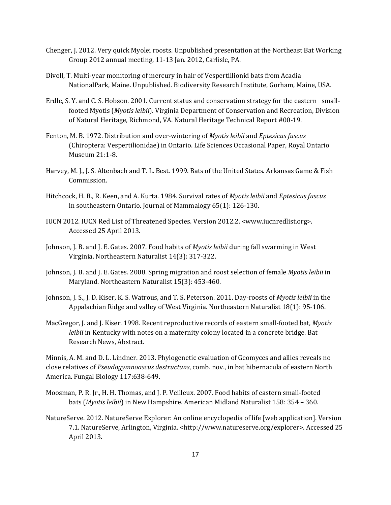- Chenger, J. 2012. Very quick Myolei roosts. Unpublished presentation at the Northeast Bat Working Group 2012 annual meeting, 11-13 Jan. 2012, Carlisle, PA.
- Divoll, T. Multi-year monitoring of mercury in hair of Vespertillionid bats from Acadia NationalPark, Maine. Unpublished. Biodiversity Research Institute, Gorham, Maine, USA.
- Erdle, S. Y. and C. S. Hobson. 2001. Current status and conservation strategy for the eastern smallfooted Myotis (*Myotis leibii*). Virginia Department of Conservation and Recreation, Division of Natural Heritage, Richmond, VA. Natural Heritage Technical Report #00-19.
- Fenton, M. B. 1972. Distribution and over-wintering of *Myotis leibii* and *Eptesicus fuscus*  (Chiroptera: Vespertilionidae) in Ontario. Life Sciences Occasional Paper, Royal Ontario Museum 21:1-8.
- Harvey, M. J., J. S. Altenbach and T. L. Best. 1999. Bats of the United States. Arkansas Game & Fish Commission.
- Hitchcock, H. B., R. Keen, and A. Kurta. 1984. Survival rates of *Myotis leibii* and *Eptesicus fuscus*  in southeastern Ontario. Journal of Mammalogy 65(1): 126-130.
- IUCN 2012. IUCN Red List of Threatened Species. Version 2012.2. <www.iucnredlist.org>. Accessed 25 April 2013.
- Johnson, J. B. and J. E. Gates. 2007. Food habits of *Myotis leibii* during fall swarming in West Virginia. Northeastern Naturalist 14(3): 317-322.
- Johnson, J. B. and J. E. Gates. 2008. Spring migration and roost selection of female *Myotis leibii* in Maryland. Northeastern Naturalist 15(3): 453-460.
- Johnson, J. S., J. D. Kiser, K. S. Watrous, and T. S. Peterson. 2011. Day-roosts of *Myotis leibii* in the Appalachian Ridge and valley of West Virginia. Northeastern Naturalist 18(1): 95-106.
- MacGregor, J. and J. Kiser. 1998. Recent reproductive records of eastern small-footed bat, *Myotis leibii* in Kentucky with notes on a maternity colony located in a concrete bridge. Bat Research News, Abstract.

Minnis, A. M. and D. L. Lindner. 2013. Phylogenetic evaluation of Geomyces and allies reveals no close relatives of *Pseudogymnoascus destructans*, comb. nov., in bat hibernacula of eastern North America. Fungal Biology 117:638-649.

- Moosman, P. R. Jr., H. H. Thomas, and J. P. Veilleux. 2007. Food habits of eastern small-footed bats (*Myotis leibii*) in New Hampshire. American Midland Naturalist 158: 354 – 360.
- NatureServe. 2012. NatureServe Explorer: An online encyclopedia of life [web application]. Version 7.1. NatureServe, Arlington, Virginia. <http://www.natureserve.org/explorer>. Accessed 25 April 2013.